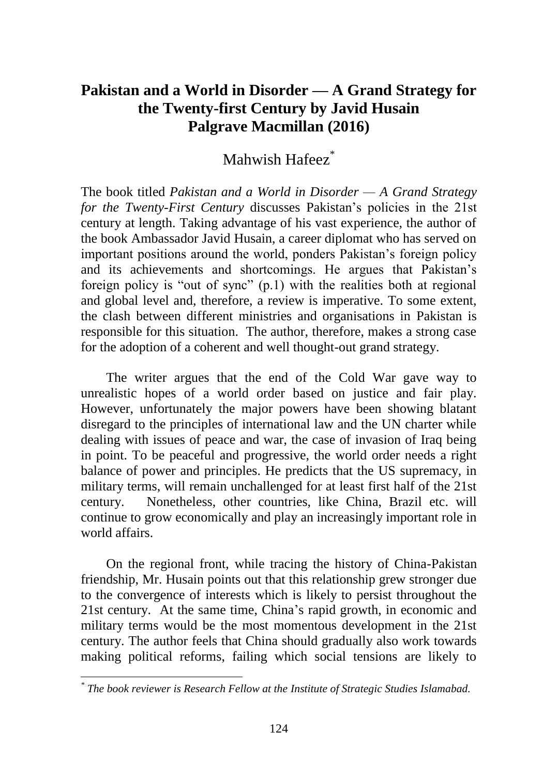## **Pakistan and a World in Disorder — A Grand Strategy for the Twenty-first Century by Javid Husain Palgrave Macmillan (2016)**

## Mahwish Hafeez<sup>\*</sup>

The book titled *Pakistan and a World in Disorder — A Grand Strategy for the Twenty-First Century* discusses Pakistan's policies in the 21st century at length. Taking advantage of his vast experience, the author of the book Ambassador Javid Husain, a career diplomat who has served on important positions around the world, ponders Pakistan's foreign policy and its achievements and shortcomings. He argues that Pakistan's foreign policy is "out of sync" (p.1) with the realities both at regional and global level and, therefore, a review is imperative. To some extent, the clash between different ministries and organisations in Pakistan is responsible for this situation. The author, therefore, makes a strong case for the adoption of a coherent and well thought-out grand strategy.

The writer argues that the end of the Cold War gave way to unrealistic hopes of a world order based on justice and fair play. However, unfortunately the major powers have been showing blatant disregard to the principles of international law and the UN charter while dealing with issues of peace and war, the case of invasion of Iraq being in point. To be peaceful and progressive, the world order needs a right balance of power and principles. He predicts that the US supremacy, in military terms, will remain unchallenged for at least first half of the 21st century. Nonetheless, other countries, like China, Brazil etc. will continue to grow economically and play an increasingly important role in world affairs.

On the regional front, while tracing the history of China-Pakistan friendship, Mr. Husain points out that this relationship grew stronger due to the convergence of interests which is likely to persist throughout the 21st century. At the same time, China's rapid growth, in economic and military terms would be the most momentous development in the 21st century. The author feels that China should gradually also work towards making political reforms, failing which social tensions are likely to

*<sup>\*</sup> The book reviewer is Research Fellow at the Institute of Strategic Studies Islamabad.*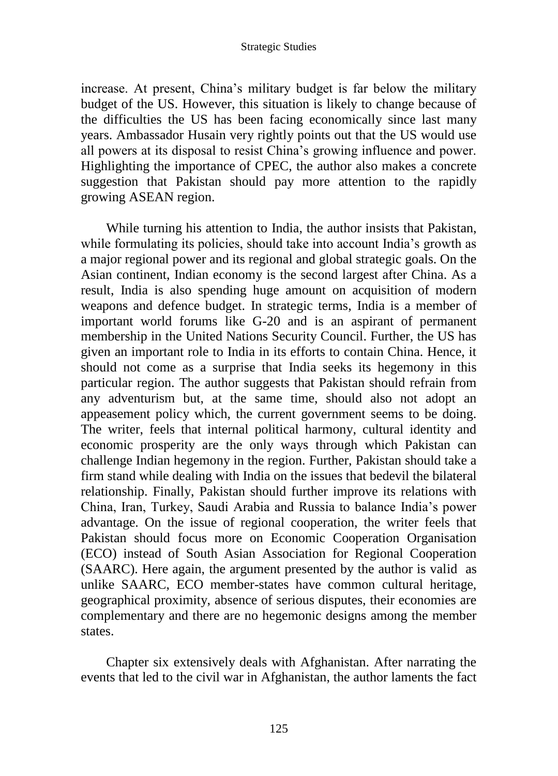## Strategic Studies

increase. At present, China's military budget is far below the military budget of the US. However, this situation is likely to change because of the difficulties the US has been facing economically since last many years. Ambassador Husain very rightly points out that the US would use all powers at its disposal to resist China's growing influence and power. Highlighting the importance of CPEC, the author also makes a concrete suggestion that Pakistan should pay more attention to the rapidly growing ASEAN region.

While turning his attention to India, the author insists that Pakistan, while formulating its policies, should take into account India's growth as a major regional power and its regional and global strategic goals. On the Asian continent, Indian economy is the second largest after China. As a result, India is also spending huge amount on acquisition of modern weapons and defence budget. In strategic terms, India is a member of important world forums like G-20 and is an aspirant of permanent membership in the United Nations Security Council. Further, the US has given an important role to India in its efforts to contain China. Hence, it should not come as a surprise that India seeks its hegemony in this particular region. The author suggests that Pakistan should refrain from any adventurism but, at the same time, should also not adopt an appeasement policy which, the current government seems to be doing. The writer, feels that internal political harmony, cultural identity and economic prosperity are the only ways through which Pakistan can challenge Indian hegemony in the region. Further, Pakistan should take a firm stand while dealing with India on the issues that bedevil the bilateral relationship. Finally, Pakistan should further improve its relations with China, Iran, Turkey, Saudi Arabia and Russia to balance India's power advantage. On the issue of regional cooperation, the writer feels that Pakistan should focus more on Economic Cooperation Organisation (ECO) instead of South Asian Association for Regional Cooperation (SAARC). Here again, the argument presented by the author is valid as unlike SAARC, ECO member-states have common cultural heritage, geographical proximity, absence of serious disputes, their economies are complementary and there are no hegemonic designs among the member states.

Chapter six extensively deals with Afghanistan. After narrating the events that led to the civil war in Afghanistan, the author laments the fact